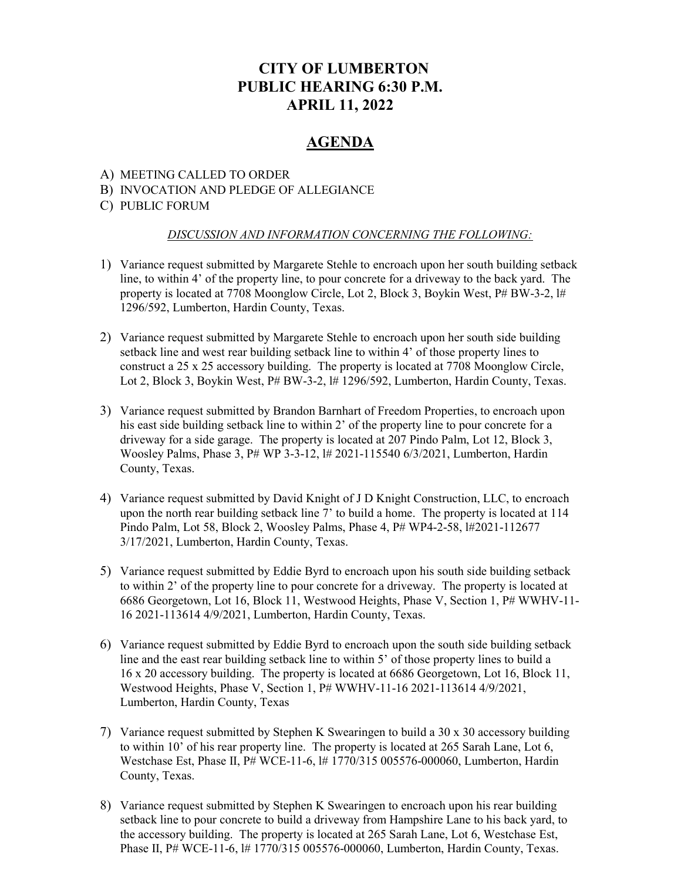# CITY OF LUMBERTON PUBLIC HEARING 6:30 P.M. APRIL 11, 2022

## AGENDA

### A) MEETING CALLED TO ORDER

### B) INVOCATION AND PLEDGE OF ALLEGIANCE

### C) PUBLIC FORUM

#### DISCUSSION AND INFORMATION CONCERNING THE FOLLOWING:

- 1) Variance request submitted by Margarete Stehle to encroach upon her south building setback line, to within 4' of the property line, to pour concrete for a driveway to the back yard. The property is located at 7708 Moonglow Circle, Lot 2, Block 3, Boykin West, P# BW-3-2, l# 1296/592, Lumberton, Hardin County, Texas.
- 2) Variance request submitted by Margarete Stehle to encroach upon her south side building setback line and west rear building setback line to within 4' of those property lines to construct a 25 x 25 accessory building. The property is located at 7708 Moonglow Circle, Lot 2, Block 3, Boykin West, P# BW-3-2, l# 1296/592, Lumberton, Hardin County, Texas.
- 3) Variance request submitted by Brandon Barnhart of Freedom Properties, to encroach upon his east side building setback line to within 2' of the property line to pour concrete for a driveway for a side garage. The property is located at 207 Pindo Palm, Lot 12, Block 3, Woosley Palms, Phase 3, P# WP 3-3-12, l# 2021-115540 6/3/2021, Lumberton, Hardin County, Texas.
- 4) Variance request submitted by David Knight of J D Knight Construction, LLC, to encroach upon the north rear building setback line 7' to build a home. The property is located at 114 Pindo Palm, Lot 58, Block 2, Woosley Palms, Phase 4, P# WP4-2-58, l#2021-112677 3/17/2021, Lumberton, Hardin County, Texas.
- 5) Variance request submitted by Eddie Byrd to encroach upon his south side building setback to within 2' of the property line to pour concrete for a driveway. The property is located at 6686 Georgetown, Lot 16, Block 11, Westwood Heights, Phase V, Section 1, P# WWHV-11- 16 2021-113614 4/9/2021, Lumberton, Hardin County, Texas.
- 6) Variance request submitted by Eddie Byrd to encroach upon the south side building setback line and the east rear building setback line to within 5' of those property lines to build a 16 x 20 accessory building. The property is located at 6686 Georgetown, Lot 16, Block 11, Westwood Heights, Phase V, Section 1, P# WWHV-11-16 2021-113614 4/9/2021, Lumberton, Hardin County, Texas
- 7) Variance request submitted by Stephen K Swearingen to build a 30 x 30 accessory building to within 10' of his rear property line. The property is located at 265 Sarah Lane, Lot 6, Westchase Est, Phase II, P# WCE-11-6, l# 1770/315 005576-000060, Lumberton, Hardin County, Texas.
- 8) Variance request submitted by Stephen K Swearingen to encroach upon his rear building setback line to pour concrete to build a driveway from Hampshire Lane to his back yard, to the accessory building. The property is located at 265 Sarah Lane, Lot 6, Westchase Est, Phase II, P# WCE-11-6, l# 1770/315 005576-000060, Lumberton, Hardin County, Texas.